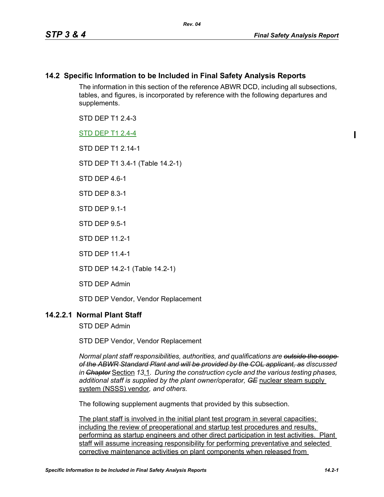## **14.2 Specific Information to be Included in Final Safety Analysis Reports**

The information in this section of the reference ABWR DCD, including all subsections, tables, and figures, is incorporated by reference with the following departures and supplements.

STD DFP T1 2 4-3

STD DEP T1 2.4-4

STD DFP T1 2 14-1

STD DEP T1 3.4-1 (Table 14.2-1)

STD DFP 46-1

STD DEP 8.3-1

STD DEP 9.1-1

STD DEP 9.5-1

STD DEP 11.2-1

STD DEP 11.4-1

STD DEP 14.2-1 (Table 14.2-1)

STD DEP Admin

STD DEP Vendor, Vendor Replacement

## **14.2.2.1 Normal Plant Staff**

STD DEP Admin

STD DEP Vendor, Vendor Replacement

*Normal plant staff responsibilities, authorities, and qualifications are outside the scope of the ABWR Standard Plant and will be provided by the COL applicant, as discussed in Chapter* Section *13*.1*. During the construction cycle and the various testing phases, additional staff is supplied by the plant owner/operator, GE* nuclear steam supply system (NSSS) vendor*, and others.* 

The following supplement augments that provided by this subsection.

The plant staff is involved in the initial plant test program in several capacities; including the review of preoperational and startup test procedures and results, performing as startup engineers and other direct participation in test activities. Plant staff will assume increasing responsibility for performing preventative and selected corrective maintenance activities on plant components when released from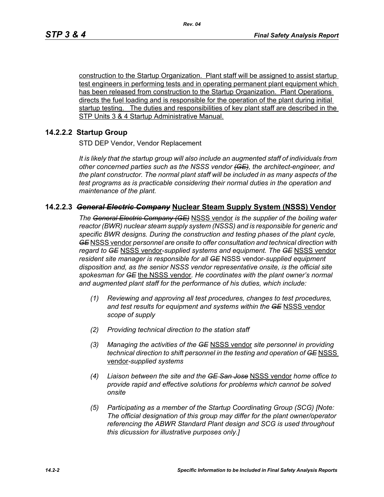construction to the Startup Organization. Plant staff will be assigned to assist startup test engineers in performing tests and in operating permanent plant equipment which has been released from construction to the Startup Organization. Plant Operations directs the fuel loading and is responsible for the operation of the plant during initial startup testing. The duties and responsibilities of key plant staff are described in the STP Units 3 & 4 Startup Administrative Manual.

## **14.2.2.2 Startup Group**

STD DEP Vendor, Vendor Replacement

*It is likely that the startup group will also include an augmented staff of individuals from other concerned parties such as the NSSS vendor (GE), the architect-engineer, and the plant constructor. The normal plant staff will be included in as many aspects of the test programs as is practicable considering their normal duties in the operation and maintenance of the plant.*

### **14.2.2.3** *General Electric Company* **Nuclear Steam Supply System (NSSS) Vendor**

*The General Electric Company (GE)* NSSS vendor *is the supplier of the boiling water reactor (BWR) nuclear steam supply system (NSSS) and is responsible for generic and specific BWR designs. During the construction and testing phases of the plant cycle, GE* NSSS vendor *personnel are onsite to offer consultation and technical direction with regard to GE* NSSS vendor-*supplied systems and equipment. The GE* NSSS vendor *resident site manager is responsible for all GE* NSSS vendor-*supplied equipment disposition and, as the senior NSSS vendor representative onsite, is the official site spokesman for GE* the NSSS vendor*. He coordinates with the plant owner's normal and augmented plant staff for the performance of his duties, which include:*

- *(1) Reviewing and approving all test procedures, changes to test procedures, and test results for equipment and systems within the GE* NSSS vendor *scope of supply*
- *(2) Providing technical direction to the station staff*
- *(3) Managing the activities of the GE* NSSS vendor *site personnel in providing technical direction to shift personnel in the testing and operation of GE* NSSS vendor*-supplied systems*
- *(4) Liaison between the site and the GE San Jose* NSSS vendor *home office to provide rapid and effective solutions for problems which cannot be solved onsite*
- *(5) Participating as a member of the Startup Coordinating Group (SCG) [Note: The official designation of this group may differ for the plant owner/operator referencing the ABWR Standard Plant design and SCG is used throughout this dicussion for illustrative purposes only.]*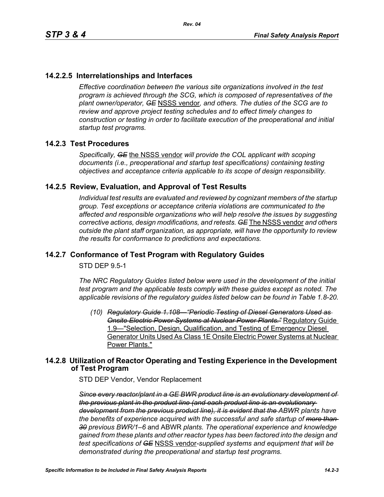## **14.2.2.5 Interrelationships and Interfaces**

*Effective coordination between the various site organizations involved in the test program is achieved through the SCG, which is composed of representatives of the plant owner/operator, GE* NSSS vendor*, and others. The duties of the SCG are to review and approve project testing schedules and to effect timely changes to construction or testing in order to facilitate execution of the preoperational and initial startup test programs.*

### **14.2.3 Test Procedures**

*Specifically, GE* the NSSS vendor *will provide the COL applicant with scoping documents (i.e., preoperational and startup test specifications) containing testing objectives and acceptance criteria applicable to its scope of design responsibility.*

### **14.2.5 Review, Evaluation, and Approval of Test Results**

*Individual test results are evaluated and reviewed by cognizant members of the startup group. Test exceptions or acceptance criteria violations are communicated to the affected and responsible organizations who will help resolve the issues by suggesting corrective actions, design modifications, and retests. GE* The NSSS vendor *and others outside the plant staff organization, as appropriate, will have the opportunity to review the results for conformance to predictions and expectations.*

## **14.2.7 Conformance of Test Program with Regulatory Guides**

STD DEP 9.5-1

*The NRC Regulatory Guides listed below were used in the development of the initial test program and the applicable tests comply with these guides except as noted. The applicable revisions of the regulatory guides listed below can be found in Table 1.8-20.*

*(10) Regulatory Guide 1.108—"Periodic Testing of Diesel Generators Used as Onsite Electric Power Systems at Nuclear Power Plants."* Regulatory Guide 1.9—"Selection, Design, Qualification, and Testing of Emergency Diesel Generator Units Used As Class 1E Onsite Electric Power Systems at Nuclear Power Plants."

### **14.2.8 Utilization of Reactor Operating and Testing Experience in the Development of Test Program**

STD DEP Vendor, Vendor Replacement

*Since every reactor/plant in a GE BWR product line is an evolutionary development of the previous plant in the product line (and each product line is an evolutionary development from the previous product line), it is evident that the ABWR plants have the benefits of experience acquired with the successful and safe startup of more than 30 previous BWR/1–6* and ABWR *plants. The operational experience and knowledge gained from these plants and other reactor types has been factored into the design and test specifications of GE* NSSS vendor*-supplied systems and equipment that will be demonstrated during the preoperational and startup test programs.*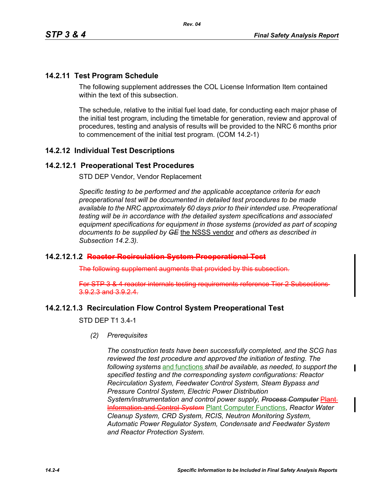## **14.2.11 Test Program Schedule**

The following supplement addresses the COL License Information Item contained within the text of this subsection

The schedule, relative to the initial fuel load date, for conducting each major phase of the initial test program, including the timetable for generation, review and approval of procedures, testing and analysis of results will be provided to the NRC 6 months prior to commencement of the initial test program. (COM 14.2-1)

## **14.2.12 Individual Test Descriptions**

### **14.2.12.1 Preoperational Test Procedures**

STD DEP Vendor, Vendor Replacement

*Specific testing to be performed and the applicable acceptance criteria for each preoperational test will be documented in detailed test procedures to be made available to the NRC approximately 60 days prior to their intended use. Preoperational testing will be in accordance with the detailed system specifications and associated equipment specifications for equipment in those systems (provided as part of scoping documents to be supplied by GE* the NSSS vendor *and others as described in Subsection 14.2.3).*

#### **14.2.12.1.2 Reactor Recirculation System Preoperational Test**

The following supplement augments that provided by this subsection.

For STP 3 & 4 reactor internals testing requirements reference Tier 2 Subsections 3.9.2.3 and 3.9.2.4.

## **14.2.12.1.3 Recirculation Flow Control System Preoperational Test**

STD DEP T1 3.4-1

*(2) Prerequisites*

*The construction tests have been successfully completed, and the SCG has reviewed the test procedure and approved the initiation of testing. The following systems* and functions *shall be available, as needed, to support the specified testing and the corresponding system configurations: Reactor Recirculation System, Feedwater Control System, Steam Bypass and Pressure Control System, Electric Power Distribution*  **System/instrumentation and control power supply, Process Computer Plant** Information and Control *System* Plant Computer Functions, *Reactor Water Cleanup System, CRD System, RCIS, Neutron Monitoring System, Automatic Power Regulator System, Condensate and Feedwater System and Reactor Protection System.*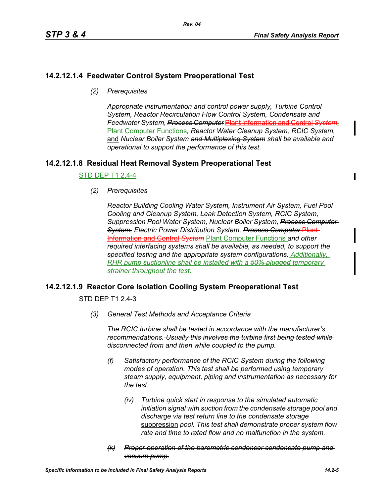## **14.2.12.1.4 Feedwater Control System Preoperational Test**

*(2) Prerequisites*

*Appropriate instrumentation and control power supply, Turbine Control System, Reactor Recirculation Flow Control System, Condensate and Feedwater System, Process Computer* Plant Information and Control *System* Plant Computer Functions*, Reactor Water Cleanup System, RCIC System,*  and *Nuclear Boiler System and Multiplexing System shall be available and operational to support the performance of this test.*

## **14.2.12.1.8 Residual Heat Removal System Preoperational Test**

### STD DEP T1 2.4-4

*(2) Prerequisites*

*Reactor Building Cooling Water System, Instrument Air System, Fuel Pool Cooling and Cleanup System, Leak Detection System, RCIC System, Suppression Pool Water System, Nuclear Boiler System, Process Computer*  **System, Electric Power Distribution System, Process Computer Plant** Information and Control *System* Plant Computer Functions *and other required interfacing systems shall be available, as needed, to support the specified testing and the appropriate system configurations. Additionally, RHR pump suctionline shall be installed with a 50% plugged temporary strainer throughout the test.*

## **14.2.12.1.9 Reactor Core Isolation Cooling System Preoperational Test**

STD DFP T1 2 4-3

*(3) General Test Methods and Acceptance Criteria*

*The RCIC turbine shall be tested in accordance with the manufacturer's recommendations. Usually this involves the turbine first being tested while disconnected from and then while coupled to the pump.* 

- *(f) Satisfactory performance of the RCIC System during the following modes of operation. This test shall be performed using temporary steam supply, equipment, piping and instrumentation as necessary for the test:*
	- *(iv) Turbine quick start in response to the simulated automatic initiation signal with suction from the condensate storage pool and discharge via test return line to the condensate storage* suppression *pool. This test shall demonstrate proper system flow rate and time to rated flow and no malfunction in the system.*
- *(k) Proper operation of the barometric condenser condensate pump and vacuum pump.*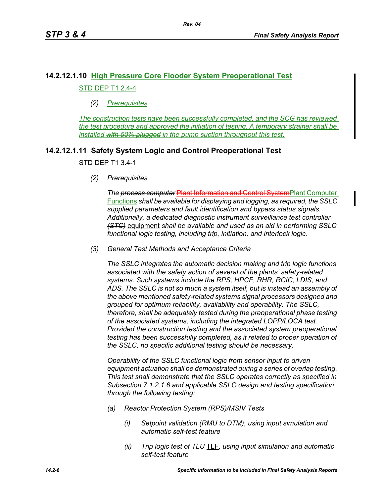# **14.2.12.1.10 High Pressure Core Flooder System Preoperational Test** STD DEP T1 2.4-4

### *(2) Prerequisites*

*The construction tests have been successfully completed, and the SCG has reviewed the test procedure and approved the initiation of testing. A temporary strainer shall be installed with 50% plugged in the pump suction throughout this test.*

## **14.2.12.1.11 Safety System Logic and Control Preoperational Test**

STD DEP T1 3.4-1

*(2) Prerequisites*

**The process computer Plant Information and Control System Plant Computer** Functions *shall be available for displaying and logging, as required, the SSLC supplied parameters and fault identification and bypass status signals. Additionally, a dedicated diagnostic instrument surveillance test controller (STC)* equipment *shall be available and used as an aid in performing SSLC functional logic testing, including trip, initiation, and interlock logic.*

*(3) General Test Methods and Acceptance Criteria*

*The SSLC integrates the automatic decision making and trip logic functions associated with the safety action of several of the plants' safety-related systems. Such systems include the RPS, HPCF, RHR, RCIC, LDIS, and ADS. The SSLC is not so much a system itself, but is instead an assembly of the above mentioned safety-related systems signal processors designed and grouped for optimum reliability, availability and operability. The SSLC, therefore, shall be adequately tested during the preoperational phase testing of the associated systems, including the integrated LOPP/LOCA test. Provided the construction testing and the associated system preoperational testing has been successfully completed, as it related to proper operation of the SSLC, no specific additional testing should be necessary.*

*Operability of the SSLC functional logic from sensor input to driven equipment actuation shall be demonstrated during a series of overlap testing. This test shall demonstrate that the SSLC operates correctly as specified in Subsection 7.1.2.1.6 and applicable SSLC design and testing specification through the following testing:*

- *(a) Reactor Protection System (RPS)/MSIV Tests*
	- *(i) Setpoint validation (RMU to DTM), using input simulation and automatic self-test feature*
	- *(ii) Trip logic test of TLU* TLF*, using input simulation and automatic self-test feature*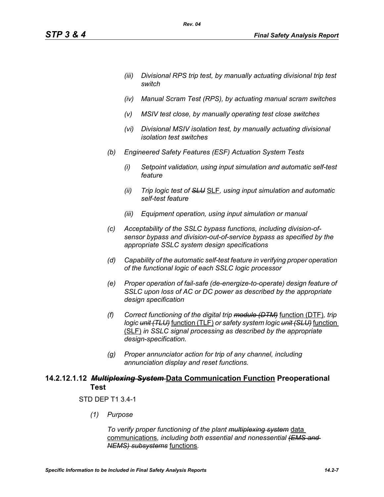- *(iii) Divisional RPS trip test, by manually actuating divisional trip test switch*
- *(iv) Manual Scram Test (RPS), by actuating manual scram switches*
- *(v) MSIV test close, by manually operating test close switches*
- *(vi) Divisional MSIV isolation test, by manually actuating divisional isolation test switches*
- *(b) Engineered Safety Features (ESF) Actuation System Tests*

*Rev. 04*

- *(i) Setpoint validation, using input simulation and automatic self-test feature*
- *(ii) Trip logic test of SLU* SLF*, using input simulation and automatic self-test feature*
- *(iii) Equipment operation, using input simulation or manual*
- *(c) Acceptability of the SSLC bypass functions, including division-ofsensor bypass and division-out-of-service bypass as specified by the appropriate SSLC system design specifications*
- *(d) Capability of the automatic self-test feature in verifying proper operation of the functional logic of each SSLC logic processor*
- *(e) Proper operation of fail-safe (de-energize-to-operate) design feature of SSLC upon loss of AC or DC power as described by the appropriate design specification*
- *(f) Correct functioning of the digital trip module (DTM)* function (DTF)*, trip logic unit (TLU)* function (TLF) *or safety system logic unit (SLU)* function (SLF) *in SSLC signal processing as described by the appropriate design-specification.*
- *(g) Proper annunciator action for trip of any channel, including annunciation display and reset functions.*

## **14.2.12.1.12** *Multiplexing System* **Data Communication Function Preoperational Test**

#### STD DEP T1 3.4-1

*(1) Purpose*

*To verify proper functioning of the plant multiplexing system* data communications*, including both essential and nonessential (EMS and NEMS) subsystems* functions*.*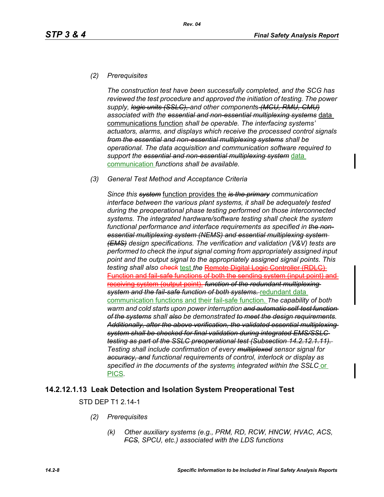### *(2) Prerequisites*

*The construction test have been successfully completed, and the SCG has reviewed the test procedure and approved the initiation of testing. The power supply, logic units (SSLC), and other component*s *(MCU, RMU, CMU) associated with the essential and non-essential multiplexing systems* data communications function *shall be operable. The interfacing systems' actuators, alarms, and displays which receive the processed control signals from the essential and non-essential multiplexing systems shall be operational. The data acquisition and communication software required to support the essential and non-essential multiplexing system* data communication *functions shall be available.*

#### *(3) General Test Method and Acceptance Criteria*

*Since this system* function provides the *is the primary communication interface between the various plant systems, it shall be adequately tested during the preoperational phase testing performed on those interconnected systems. The integrated hardware/software testing shall check the system functional performance and interface requirements as specified in the nonessential multiplexing system (NEMS) and essential multiplexing system (EMS) design specifications. The verification and validation (V&V) tests are performed to check the input signal coming from appropriately assigned input point and the output signal to the appropriately assigned signal points. This*  **testing shall also check test the Remote Digital Logic Controller (RDLC)** Function and fail-safe functions of both the sending system (input point) and receiving system (output point). *function of the redundant multiplexing system and the fail-safe function of both systems.* redundant data communication functions and their fail-safe function. *The capability of both warm and cold starts upon power interruption and automatic self-test function of the systems shall also be demonstrated to meet the design requirements. Additionally, after the above verification, the validated essential multiplexing system shall be checked for final validation during integrated EMS/SSLC testing as part of the SSLC preoperational test (Subsection 14.2.12.1.11). Testing shall include confirmation of every multiplexed sensor signal for accuracy, and functional requirements of control, interlock or display as specified in the documents of the system*s *integrated within the SSLC* or PICS*.*

## **14.2.12.1.13 Leak Detection and Isolation System Preoperational Test**

STD DEP T1 2.14-1

- *(2) Prerequisites*
	- *(k) Other auxiliary systems (e.g., PRM, RD, RCW, HNCW, HVAC, ACS, FCS, SPCU, etc.) associated with the LDS functions*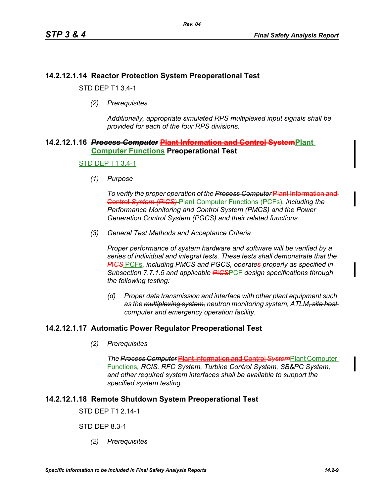## **14.2.12.1.14 Reactor Protection System Preoperational Test**

STD DEP T1 3.4-1

*(2) Prerequisites*

*Additionally, appropriate simulated RPS multiplexed input signals shall be provided for each of the four RPS divisions.*

### **14.2.12.1.16** *Process Computer* **Plant Information and Control SystemPlant Computer Functions Preoperational Test**

#### STD DEP T1 3.4-1

*(1) Purpose*

*To verify the proper operation of the Process Computer* Plant Information and Control *System (P*I*CS)* Plant Computer Functions (PCFs)*, including the Performance Monitoring and Control System (PMCS) and the Power Generation Control System (PGCS) and their related functions.*

*(3) General Test Methods and Acceptance Criteria*

*Proper performance of system hardware and software will be verified by a series of individual and integral tests. These tests shall demonstrate that the P*I*CS* PCFs*, including PMCS and PGCS, operates properly as specified in Subsection 7.7.1.5 and applicable P*I*CS*PCF *design specifications through the following testing:*

*(d) Proper data transmission and interface with other plant equipment such as the multiplexing system, neutron monitoring system, ATLM, site host computer and emergency operation facility.*

## **14.2.12.1.17 Automatic Power Regulator Preoperational Test**

*(2) Prerequisites*

*The Process Computer* **Plant Information and Control System**Plant Computer Functions*, RCIS, RFC System, Turbine Control System, SB&PC System, and other required system interfaces shall be available to support the specified system testing.*

## **14.2.12.1.18 Remote Shutdown System Preoperational Test**

STD DEP T1 2.14-1

STD DEP 8.3-1

*(2) Prerequisites*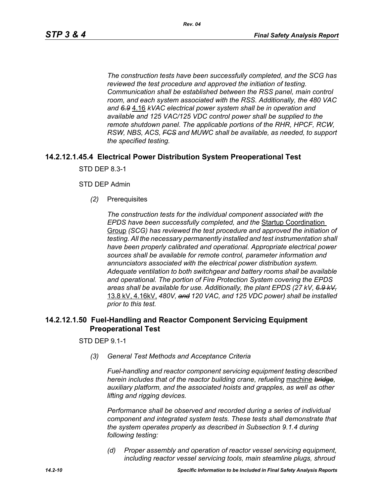*The construction tests have been successfully completed, and the SCG has reviewed the test procedure and approved the initiation of testing. Communication shall be established between the RSS panel, main control room, and each system associated with the RSS. Additionally, the 480 VAC and 6.9* 4.16 *kVAC electrical power system shall be in operation and available and 125 VAC/125 VDC control power shall be supplied to the remote shutdown panel. The applicable portions of the RHR, HPCF, RCW, RSW, NBS, ACS, FCS and MUWC shall be available, as needed, to support the specified testing.*

## **14.2.12.1.45.4 Electrical Power Distribution System Preoperational Test**

STD DEP 8.3-1

#### STD DEP Admin

*(2)* Prerequisites

*The construction tests for the individual component associated with the EPDS have been successfully completed, and the* Startup Coordination Group *(SCG) has reviewed the test procedure and approved the initiation of testing. All the necessary permanently installed and test instrumentation shall have been properly calibrated and operational. Appropriate electrical power sources shall be available for remote control, parameter information and annunciators associated with the electrical power distribution system. Adequate ventilation to both switchgear and battery rooms shall be available and operational. The portion of Fire Protection System covering the EPDS areas shall be available for use. Additionally, the plant EPDS (27 kV, 6.9 kV,* 13.8 kV, 4.16kV, *480V, and 120 VAC, and 125 VDC power) shall be installed prior to this test.*

### **14.2.12.1.50 Fuel-Handling and Reactor Component Servicing Equipment Preoperational Test**

STD DEP 9.1-1

*(3) General Test Methods and Acceptance Criteria*

*Fuel-handling and reactor component servicing equipment testing described herein includes that of the reactor building crane, refueling* machine *bridge, auxiliary platform, and the associated hoists and grapples, as well as other lifting and rigging devices.* 

*Performance shall be observed and recorded during a series of individual component and integrated system tests. These tests shall demonstrate that the system operates properly as described in Subsection 9.1.4 during following testing:*

*(d) Proper assembly and operation of reactor vessel servicing equipment, including reactor vessel servicing tools, main steamline plugs, shroud*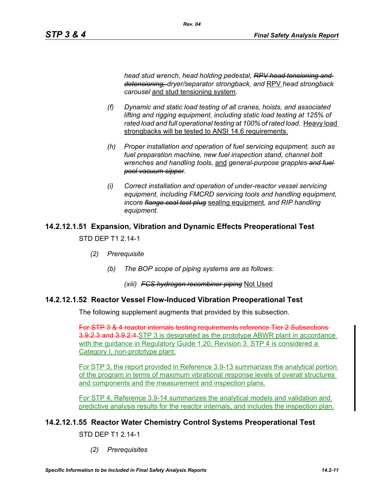*head stud wrench, head holding pedestal, RPV head tensioning and detensioning, dryer/separator strongback, and* RPV *head strongback carousel* and stud tensioning system*.*

*Rev. 04*

- *(f) Dynamic and static load testing of all cranes, hoists, and associated lifting and rigging equipment, including static load testing at 125% of rated load and full operational testing at 100% of rated load.* Heavy load strongbacks will be tested to ANSI 14.6 requirements.
- *(h) Proper installation and operation of fuel servicing equipment, such as fuel preparation machine, new fuel inspection stand, channel bolt wrenches and handling tools,* and *general-purpose grapples and fuel pool vacuum sipper.*
- *(i) Correct installation and operation of under-reactor vessel servicing equipment, including FMCRD servicing tools and handling equipment, incore flange seal test plug* sealing equipment*, and RIP handling equipment.*

# **14.2.12.1.51 Expansion, Vibration and Dynamic Effects Preoperational Test**

STD DFP T1 2 14-1

- *(2) Prerequisite*
	- *(b) The BOP scope of piping systems are as follows:*
		- *(xiii) FCS hydrogen recombiner piping* Not Used

## **14.2.12.1.52 Reactor Vessel Flow-Induced Vibration Preoperational Test**

The following supplement augments that provided by this subsection.

For STP 3 & 4 reactor internals testing requirements reference Tier 2 Subsections 3.9.2.3 and 3.9.2.4.STP 3 is designated as the prototype ABWR plant in accordance with the guidance in Regulatory Guide 1.20, Revision 3. STP 4 is considered a Category I, non-prototype plant.

For STP 3, the report provided in Reference 3.9-13 summarizes the analytical portion of the program in terms of maximum vibrational response levels of overall structures and components and the measurement and inspection plans.

For STP 4, Reference 3.9-14 summarizes the analytical models and validation and predictive analysis results for the reactor internals, and includes the inspection plan.

## **14.2.12.1.55 Reactor Water Chemistry Control Systems Preoperational Test**

STD DFP T1 2 14-1

*(2) Prerequisites*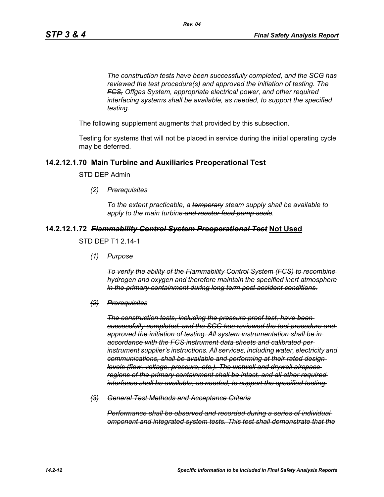*The construction tests have been successfully completed, and the SCG has reviewed the test procedure(s) and approved the initiation of testing. The FCS, Offgas System, appropriate electrical power, and other required interfacing systems shall be available, as needed, to support the specified testing.*

The following supplement augments that provided by this subsection.

Testing for systems that will not be placed in service during the initial operating cycle may be deferred.

## **14.2.12.1.70 Main Turbine and Auxiliaries Preoperational Test**

STD DEP Admin

*(2) Prerequisites*

*To the extent practicable, a temporary steam supply shall be available to apply to the main turbine and reactor feed pump seals.*

#### **14.2.12.1.72** *Flammability Control System Preoperational Test* **Not Used**

#### STD DEP T1 2.14-1

*(1) Purpose*

*To verify the ability of the Flammability Control System (FCS) to recombine hydrogen and oxygen and therefore maintain the specified inert atmosphere in the primary containment during long term post accident conditions.*

#### *(2) Prerequisites*

*The construction tests, including the pressure proof test, have been successfully completed, and the SCG has reviewed the test procedure and approved the initiation of testing. All system instrumentation shall be in accordance with the FCS instrument data sheets and calibrated per instrument supplier's instructions. All services, including water, electricity and communications, shall be available and performing at their rated design levels (flow, voltage, pressure, etc.). The wetwell and drywell airspace regions of the primary containment shall be intact, and all other required interfaces shall be available, as needed, to support the specified testing.*

*(3) General Test Methods and Acceptance Criteria*

*Performance shall be observed and recorded during a series of individual omponent and integrated system tests. This test shall demonstrate that the*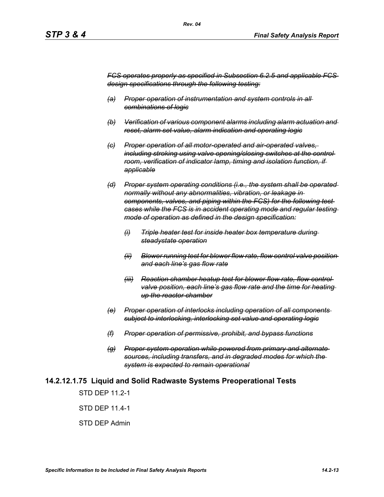*FCS operates properly as specified in Subsection 6.2.5 and applicable FCS design specifications through the following testing:*

- *(a) Proper operation of instrumentation and system controls in all combinations of logic*
- *(b) Verification of various component alarms including alarm actuation and reset, alarm set value, alarm indication and operating logic*
- *(c) Proper operation of all motor-operated and air-operated valves, including stroking using valve opening/closing switches at the control room, verification of indicator lamp, timing and isolation function, if applicable*
- *(d) Proper system operating conditions (i.e., the system shall be operated normally without any abnormalities, vibration, or leakage in components, valves, and piping within the FCS) for the following test cases while the FCS is in accident operating mode and regular testing mode of operation as defined in the design specification:*
	- *(i) Triple heater test for inside heater box temperature during steadystate operation*
	- *(ii) Blower running test for blower flow rate, flow control valve position and each line's gas flow rate*
	- *(iii) Reaction chamber heatup test for blower flow rate, flow control valve position, each line's gas flow rate and the time for heating up the reactor chamber*
- *(e) Proper operation of interlocks including operation of all components subject to interlocking, interlocking set value and operating logic*
- *(f) Proper operation of permissive, prohibit, and bypass functions*
- *(g) Proper system operation while powered from primary and alternate sources, including transfers, and in degraded modes for which the system is expected to remain operational*

#### **14.2.12.1.75 Liquid and Solid Radwaste Systems Preoperational Tests**

STD DFP 11 2-1

STD DEP 11.4-1

STD DEP Admin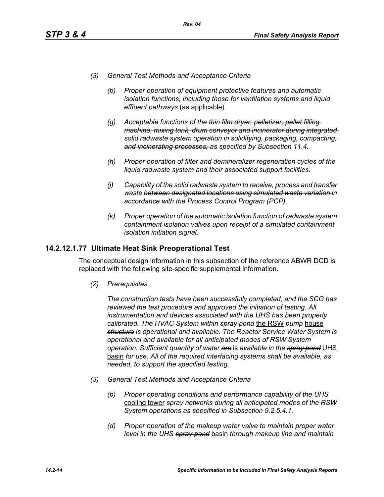- *(3) General Test Methods and Acceptance Criteria*
	- *(b) Proper operation of equipment protective features and automatic isolation functions, including those for ventilation systems and liquid effluent pathways* (as applicable)*.*
	- *(g) Acceptable functions of the thin film dryer, pelletizer, pellet filling machine, mixing tank, drum conveyor and incinerator during integrated solid radwaste system operation in solidifying, packaging, compacting, and incinerating processes, as specified by Subsection 11.4.*
	- *(h) Proper operation of filter and demineralizer regeneration cycles of the liquid radwaste system and their associated support facilities.*
	- *(j) Capability of the solid radwaste system to receive, process and transfer waste between designated locations using simulated waste variation in accordance with the Process Control Program (PCP).*
	- *(k) Proper operation of the automatic isolation function of radwaste system containment isolation valves upon receipt of a simulated containment isolation initiation signal.*

### **14.2.12.1.77 Ultimate Heat Sink Preoperational Test**

The conceptual design information in this subsection of the reference ABWR DCD is replaced with the following site-specific supplemental information.

*(2) Prerequisites*

*The construction tests have been successfully completed, and the SCG has reviewed the test procedure and approved the initiation of testing. All instrumentation and devices associated with the UHS has been properly calibrated. The HVAC System within spray pond* the RSW *pump* house *structure is operational and available. The Reactor Service Water System is operational and available for all anticipated modes of RSW System operation. Sufficient quantity of water are* is *available in the spray pond* UHS basin *for use. All of the required interfacing systems shall be available, as needed, to support the specified testing.*

- *(3) General Test Methods and Acceptance Criteria*
	- *(b) Proper operating conditions and performance capability of the UHS*  cooling tower *spray networks during all anticipated modes of the RSW System operations as specified in Subsection 9.2.5.4.1.*
	- *(d) Proper operation of the makeup water valve to maintain proper water level in the UHS spray pond* basin *through makeup line and maintain*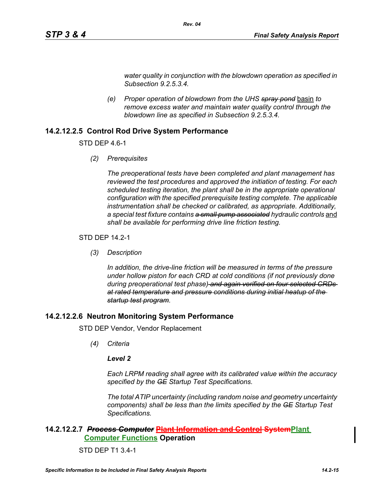*water quality in conjunction with the blowdown operation as specified in Subsection 9.2.5.3.4.*

*(e) Proper operation of blowdown from the UHS spray pond* basin *to remove excess water and maintain water quality control through the blowdown line as specified in Subsection 9.2.5.3.4.* 

*Rev. 04*

## **14.2.12.2.5 Control Rod Drive System Performance**

STD DEP 4.6-1

*(2) Prerequisites*

*The preoperational tests have been completed and plant management has reviewed the test procedures and approved the initiation of testing. For each scheduled testing iteration, the plant shall be in the appropriate operational configuration with the specified prerequisite testing complete. The applicable instrumentation shall be checked or calibrated, as appropriate. Additionally,*  a special test fixture contains a small pump associated hydraulic controls and *shall be available for performing drive line friction testing.*

### STD DEP 14.2-1

*(3) Description*

*In addition, the drive-line friction will be measured in terms of the pressure under hollow piston for each CRD at cold conditions (if not previously done during preoperational test phase) and again verified on four selected CRDs at rated temperature and pressure conditions during initial heatup of the startup test program.*

## **14.2.12.2.6 Neutron Monitoring System Performance**

STD DEP Vendor, Vendor Replacement

*(4) Criteria*

#### *Level 2*

*Each LRPM reading shall agree with its calibrated value within the accuracy specified by the GE Startup Test Specifications.*

*The total ATIP uncertainty (including random noise and geometry uncertainty components) shall be less than the limits specified by the GE Startup Test Specifications.*

## **14.2.12.2.7** *Process Computer* **Plant Information and Control SystemPlant Computer Functions Operation**

#### STD DEP T1 3.4-1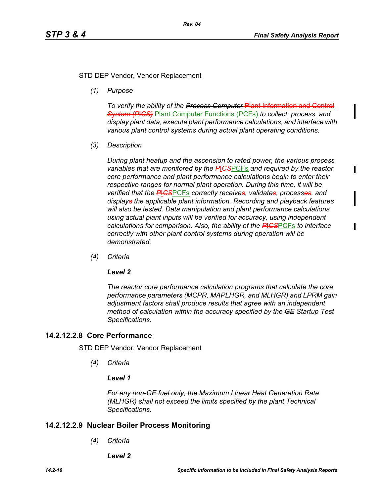### STD DEP Vendor, Vendor Replacement

*(1) Purpose*

*To verify the ability of the Process Computer* Plant Information and Control *System (P*I*CS)* Plant Computer Functions (PCFs) *to collect, process, and display plant data, execute plant performance calculations, and interface with various plant control systems during actual plant operating conditions.*

*(3) Description*

*During plant heatup and the ascension to rated power, the various process variables that are monitored by the P*I*CS*PCFs *and required by the reactor core performance and plant performance calculations begin to enter their respective ranges for normal plant operation. During this time, it will be verified that the P*I*CS*PCFs *correctly receives, validates, processes, and displays the applicable plant information. Recording and playback features will also be tested. Data manipulation and plant performance calculations using actual plant inputs will be verified for accuracy, using independent calculations for comparison. Also, the ability of the P*I*CS*PCFs *to interface correctly with other plant control systems during operation will be demonstrated.*

*(4) Criteria*

#### *Level 2*

*The reactor core performance calculation programs that calculate the core performance parameters (MCPR, MAPLHGR, and MLHGR) and LPRM gain adjustment factors shall produce results that agree with an independent method of calculation within the accuracy specified by the GE Startup Test Specifications.*

#### **14.2.12.2.8 Core Performance**

STD DEP Vendor, Vendor Replacement

*(4) Criteria*

#### *Level 1*

*For any non-GE fuel only, the Maximum Linear Heat Generation Rate (MLHGR) shall not exceed the limits specified by the plant Technical Specifications.*

#### **14.2.12.2.9 Nuclear Boiler Process Monitoring**

*(4) Criteria*

*Level 2*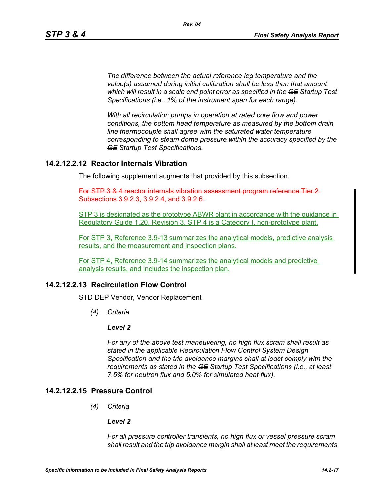*The difference between the actual reference leg temperature and the value(s) assumed during initial calibration shall be less than that amount which will result in a scale end point error as specified in the GE Startup Test Specifications (i.e., 1% of the instrument span for each range).* 

*With all recirculation pumps in operation at rated core flow and power conditions, the bottom head temperature as measured by the bottom drain line thermocouple shall agree with the saturated water temperature corresponding to steam dome pressure within the accuracy specified by the GE Startup Test Specifications.*

## **14.2.12.2.12 Reactor Internals Vibration**

The following supplement augments that provided by this subsection.

*Rev. 04*

For STP 3 & 4 reactor internals vibration assessment program reference Subsections 3.9.2.3, 3.9.2.4, and 3.9.2.6.

STP 3 is designated as the prototype ABWR plant in accordance with the guidance in Regulatory Guide 1.20, Revision 3. STP 4 is a Category I, non-prototype plant.

For STP 3, Reference 3.9-13 summarizes the analytical models, predictive analysis results, and the measurement and inspection plans.

For STP 4, Reference 3.9-14 summarizes the analytical models and predictive analysis results, and includes the inspection plan.

## **14.2.12.2.13 Recirculation Flow Control**

STD DEP Vendor, Vendor Replacement

*(4) Criteria*

#### *Level 2*

*For any of the above test maneuvering, no high flux scram shall result as stated in the applicable Recirculation Flow Control System Design Specification and the trip avoidance margins shall at least comply with the requirements as stated in the GE Startup Test Specifications (i.e., at least 7.5% for neutron flux and 5.0% for simulated heat flux).*

### **14.2.12.2.15 Pressure Control**

*(4) Criteria*

#### *Level 2*

*For all pressure controller transients, no high flux or vessel pressure scram shall result and the trip avoidance margin shall at least meet the requirements*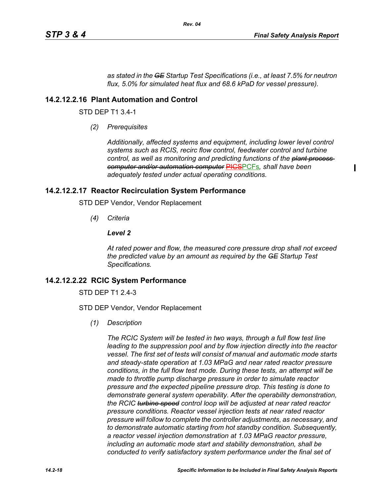*as stated in the GE Startup Test Specifications (i.e., at least 7.5% for neutron flux, 5.0% for simulated heat flux and 68.6 kPaD for vessel pressure).*

*Rev. 04*

#### **14.2.12.2.16 Plant Automation and Control**

STD DEP T1 3.4-1

*(2) Prerequisites*

*Additionally, affected systems and equipment, including lower level control systems such as RCIS, recirc flow control, feedwater control and turbine control, as well as monitoring and predicting functions of the plant process computer and/or automation computer* PICSPCFs*, shall have been adequately tested under actual operating conditions.*

#### **14.2.12.2.17 Reactor Recirculation System Performance**

STD DEP Vendor, Vendor Replacement

*(4) Criteria*

#### *Level 2*

*At rated power and flow, the measured core pressure drop shall not exceed the predicted value by an amount as required by the GE Startup Test Specifications.*

#### **14.2.12.2.22 RCIC System Performance**

STD DEP T1 2.4-3

STD DEP Vendor, Vendor Replacement

*(1) Description*

*The RCIC System will be tested in two ways, through a full flow test line leading to the suppression pool and by flow injection directly into the reactor vessel. The first set of tests will consist of manual and automatic mode starts and steady-state operation at 1.03 MPaG and near rated reactor pressure conditions, in the full flow test mode. During these tests, an attempt will be made to throttle pump discharge pressure in order to simulate reactor pressure and the expected pipeline pressure drop. This testing is done to demonstrate general system operability. After the operability demonstration, the RCIC turbine speed control loop will be adjusted at near rated reactor pressure conditions. Reactor vessel injection tests at near rated reactor pressure will follow to complete the controller adjustments, as necessary, and to demonstrate automatic starting from hot standby condition. Subsequently, a reactor vessel injection demonstration at 1.03 MPaG reactor pressure, including an automatic mode start and stability demonstration, shall be conducted to verify satisfactory system performance under the final set of*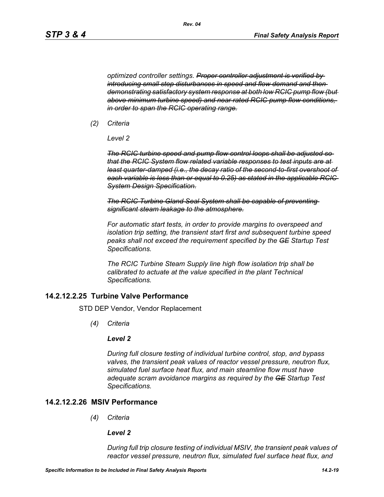*optimized controller settings. Proper controller adjustment is verified by introducing small step disturbances in speed and flow demand and then demonstrating satisfactory system response at both low RCIC pump flow (but above minimum turbine speed) and near rated RCIC pump flow conditions, in order to span the RCIC operating range.*

*(2) Criteria*

*Level 2*

*The RCIC turbine speed and pump flow control loops shall be adjusted so that the RCIC System flow related variable responses to test inputs are at least quarter-damped (i.e., the decay ratio of the second-to-first overshoot of each variable is less than or equal to 0.25) as stated in the applicable RCIC System Design Specification.*

*The RCIC Turbine Gland Seal System shall be capable of preventing significant steam leakage to the atmosphere.*

*For automatic start tests, in order to provide margins to overspeed and isolation trip setting, the transient start first and subsequent turbine speed peaks shall not exceed the requirement specified by the GE Startup Test Specifications.*

*The RCIC Turbine Steam Supply line high flow isolation trip shall be calibrated to actuate at the value specified in the plant Technical Specifications.*

#### **14.2.12.2.25 Turbine Valve Performance**

STD DEP Vendor, Vendor Replacement

*(4) Criteria*

#### *Level 2*

*During full closure testing of individual turbine control, stop, and bypass valves, the transient peak values of reactor vessel pressure, neutron flux, simulated fuel surface heat flux, and main steamline flow must have adequate scram avoidance margins as required by the GE Startup Test Specifications.*

### **14.2.12.2.26 MSIV Performance**

*(4) Criteria*

#### *Level 2*

*During full trip closure testing of individual MSIV, the transient peak values of reactor vessel pressure, neutron flux, simulated fuel surface heat flux, and*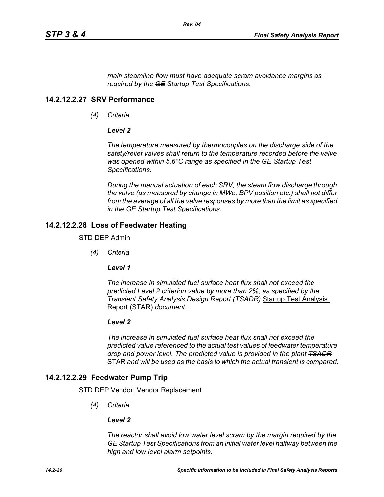*main steamline flow must have adequate scram avoidance margins as required by the GE Startup Test Specifications.*

#### **14.2.12.2.27 SRV Performance**

*(4) Criteria*

#### *Level 2*

*The temperature measured by thermocouples on the discharge side of the safety/relief valves shall return to the temperature recorded before the valve was opened within 5.6°C range as specified in the GE Startup Test Specifications.*

*During the manual actuation of each SRV, the steam flow discharge through the valve (as measured by change in MWe, BPV position etc.) shall not differ from the average of all the valve responses by more than the limit as specified in the GE Startup Test Specifications.*

#### **14.2.12.2.28 Loss of Feedwater Heating**

STD DEP Admin

*(4) Criteria*

*Level 1*

*The increase in simulated fuel surface heat flux shall not exceed the predicted Level 2 criterion value by more than 2%, as specified by the Transient Safety Analysis Design Report (TSADR)* Startup Test Analysis Report (STAR) *document*.

#### *Level 2*

*The increase in simulated fuel surface heat flux shall not exceed the predicted value referenced to the actual test values of feedwater temperature drop and power level. The predicted value is provided in the plant TSADR* STAR *and will be used as the basis to which the actual transient is compared.*

#### **14.2.12.2.29 Feedwater Pump Trip**

STD DEP Vendor, Vendor Replacement

*(4) Criteria*

#### *Level 2*

*The reactor shall avoid low water level scram by the margin required by the GE Startup Test Specifications from an initial water level halfway between the high and low level alarm setpoints.*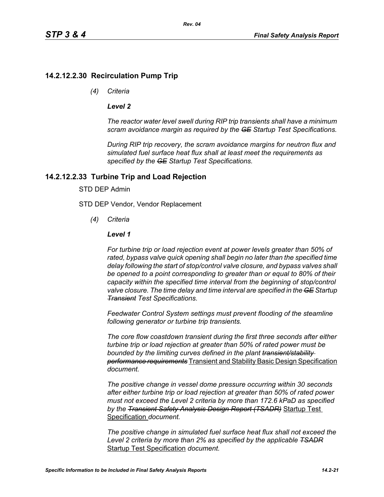## **14.2.12.2.30 Recirculation Pump Trip**

*(4) Criteria*

#### *Level 2*

*The reactor water level swell during RIP trip transients shall have a minimum scram avoidance margin as required by the GE Startup Test Specifications.*

*During RIP trip recovery, the scram avoidance margins for neutron flux and simulated fuel surface heat flux shall at least meet the requirements as specified by the GE Startup Test Specifications.*

## **14.2.12.2.33 Turbine Trip and Load Rejection**

#### STD DEP Admin

STD DEP Vendor, Vendor Replacement

*(4) Criteria*

#### *Level 1*

*For turbine trip or load rejection event at power levels greater than 50% of rated, bypass valve quick opening shall begin no later than the specified time delay following the start of stop/control valve closure, and bypass valves shall be opened to a point corresponding to greater than or equal to 80% of their capacity within the specified time interval from the beginning of stop/control valve closure. The time delay and time interval are specified in the GE Startup Transient Test Specifications.*

*Feedwater Control System settings must prevent flooding of the steamline following generator or turbine trip transients.*

*The core flow coastdown transient during the first three seconds after either turbine trip or load rejection at greater than 50% of rated power must be bounded by the limiting curves defined in the plant transient/stability performance requirements* Transient and Stability Basic Design Specification *document.*

*The positive change in vessel dome pressure occurring within 30 seconds after either turbine trip or load rejection at greater than 50% of rated power must not exceed the Level 2 criteria by more than 172.6 kPaD as specified by the Transient Safety Analysis Design Report (TSADR)* Startup Test Specification *document.*

*The positive change in simulated fuel surface heat flux shall not exceed the Level 2 criteria by more than 2% as specified by the applicable TSADR* Startup Test Specification *document.*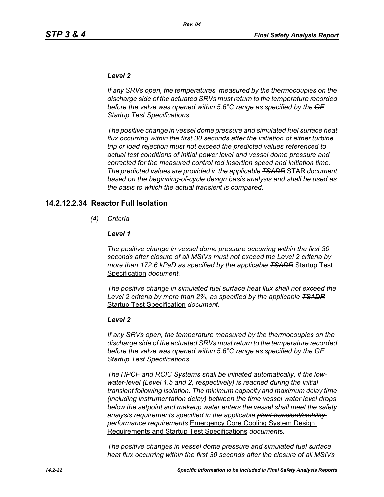#### *Level 2*

*If any SRVs open, the temperatures, measured by the thermocouples on the discharge side of the actuated SRVs must return to the temperature recorded before the valve was opened within 5.6°C range as specified by the GE Startup Test Specifications.*

*The positive change in vessel dome pressure and simulated fuel surface heat flux occurring within the first 30 seconds after the initiation of either turbine trip or load rejection must not exceed the predicted values referenced to actual test conditions of initial power level and vessel dome pressure and corrected for the measured control rod insertion speed and initiation time. The predicted values are provided in the applicable TSADR* STAR *document based on the beginning-of-cycle design basis analysis and shall be used as the basis to which the actual transient is compared.*

#### **14.2.12.2.34 Reactor Full Isolation**

*(4) Criteria*

#### *Level 1*

*The positive change in vessel dome pressure occurring within the first 30 seconds after closure of all MSIVs must not exceed the Level 2 criteria by more than 172.6 kPaD as specified by the applicable TSADR* Startup Test Specification *document.*

*The positive change in simulated fuel surface heat flux shall not exceed the Level 2 criteria by more than 2%, as specified by the applicable TSADR* Startup Test Specification *document.*

#### *Level 2*

*If any SRVs open, the temperature measured by the thermocouples on the discharge side of the actuated SRVs must return to the temperature recorded before the valve was opened within 5.6°C range as specified by the GE Startup Test Specifications.*

*The HPCF and RCIC Systems shall be initiated automatically, if the lowwater-level (Level 1.5 and 2, respectively) is reached during the initial transient following isolation. The minimum capacity and maximum delay time (including instrumentation delay) between the time vessel water level drops below the setpoint and makeup water enters the vessel shall meet the safety analysis requirements specified in the applicable plant transient/stability performance requirements* Emergency Core Cooling System Design Requirements and Startup Test Specifications *document*s*.*

*The positive changes in vessel dome pressure and simulated fuel surface heat flux occurring within the first 30 seconds after the closure of all MSIVs*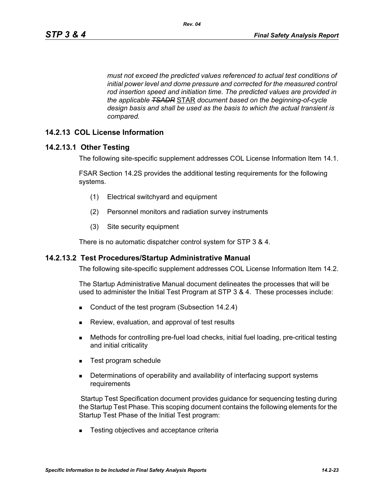*must not exceed the predicted values referenced to actual test conditions of initial power level and dome pressure and corrected for the measured control rod insertion speed and initiation time. The predicted values are provided in the applicable TSADR* STAR *document based on the beginning-of-cycle design basis and shall be used as the basis to which the actual transient is compared.*

### **14.2.13 COL License Information**

#### **14.2.13.1 Other Testing**

The following site-specific supplement addresses COL License Information Item 14.1.

FSAR Section 14.2S provides the additional testing requirements for the following systems.

- (1) Electrical switchyard and equipment
- (2) Personnel monitors and radiation survey instruments
- (3) Site security equipment

There is no automatic dispatcher control system for STP 3 & 4.

#### **14.2.13.2 Test Procedures/Startup Administrative Manual**

The following site-specific supplement addresses COL License Information Item 14.2.

The Startup Administrative Manual document delineates the processes that will be used to administer the Initial Test Program at STP 3 & 4. These processes include:

- Conduct of the test program (Subsection 14.2.4)
- **Review, evaluation, and approval of test results**
- Methods for controlling pre-fuel load checks, initial fuel loading, pre-critical testing and initial criticality
- Test program schedule
- **Determinations of operability and availability of interfacing support systems** requirements

 Startup Test Specification document provides guidance for sequencing testing during the Startup Test Phase. This scoping document contains the following elements for the Startup Test Phase of the Initial Test program:

■ Testing objectives and acceptance criteria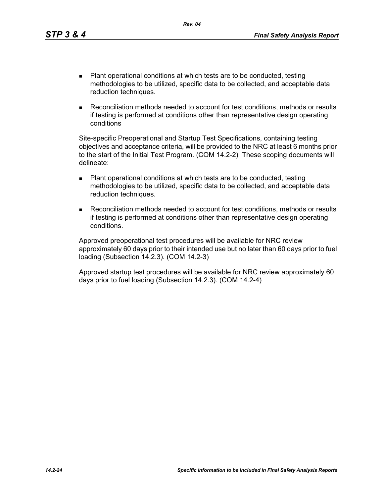- Plant operational conditions at which tests are to be conducted, testing methodologies to be utilized, specific data to be collected, and acceptable data reduction techniques.
- Reconciliation methods needed to account for test conditions, methods or results if testing is performed at conditions other than representative design operating conditions

Site-specific Preoperational and Startup Test Specifications, containing testing objectives and acceptance criteria, will be provided to the NRC at least 6 months prior to the start of the Initial Test Program. (COM 14.2-2) These scoping documents will delineate:

- Plant operational conditions at which tests are to be conducted, testing methodologies to be utilized, specific data to be collected, and acceptable data reduction techniques.
- Reconciliation methods needed to account for test conditions, methods or results if testing is performed at conditions other than representative design operating conditions.

Approved preoperational test procedures will be available for NRC review approximately 60 days prior to their intended use but no later than 60 days prior to fuel loading (Subsection 14.2.3). (COM 14.2-3)

Approved startup test procedures will be available for NRC review approximately 60 days prior to fuel loading (Subsection 14.2.3). (COM 14.2-4)